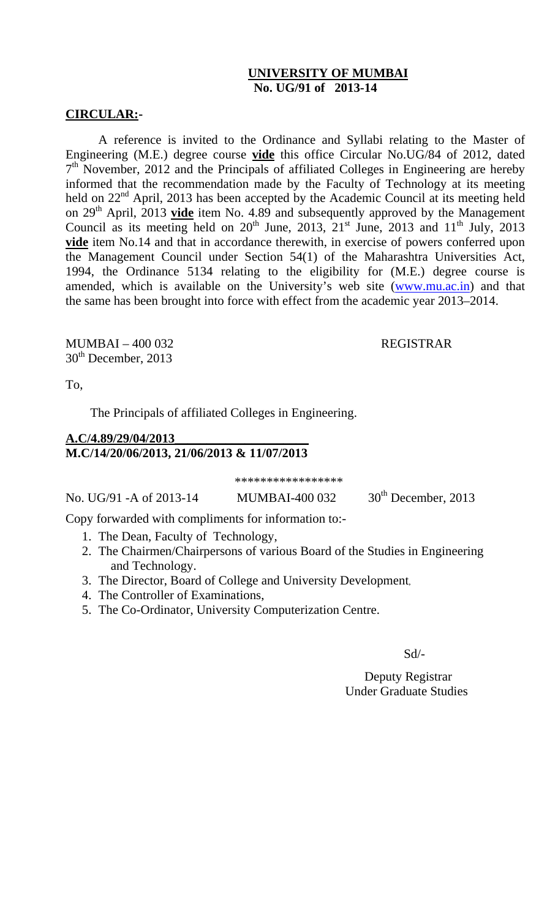# **UNIVERSITY OF MUMBAI No. UG/91 of 2013-14**

## **CIRCULAR:-**

A reference is invited to the Ordinance and Syllabi relating to the Master of Engineering (M.E.) degree course **vide** this office Circular No.UG/84 of 2012, dated  $7<sup>th</sup>$  November, 2012 and the Principals of affiliated Colleges in Engineering are hereby informed that the recommendation made by the Faculty of Technology at its meeting held on  $22<sup>nd</sup>$  April, 2013 has been accepted by the Academic Council at its meeting held on 29<sup>th</sup> April, 2013 **vide** item No. 4.89 and subsequently approved by the Management Council as its meeting held on  $20^{th}$  June,  $2013$ ,  $21^{st}$  June,  $2013$  and  $11^{th}$  July,  $2013$ **vide** item No.14 and that in accordance therewith, in exercise of powers conferred upon the Management Council under Section 54(1) of the Maharashtra Universities Act, 1994, the Ordinance 5134 relating to the eligibility for (M.E.) degree course is amended, which is available on the University's web site (www.mu.ac.in) and that the same has been brought into force with effect from the academic year 2013–2014.

MUMBAI – 400 032 REGISTRAR  $30<sup>th</sup>$  December, 2013

To,

The Principals of affiliated Colleges in Engineering.

## **A.C/4.89/29/04/2013\_\_\_\_\_\_\_\_\_\_\_\_\_\_\_\_\_\_\_\_\_ M.C/14/20/06/2013, 21/06/2013 & 11/07/2013**

\*\*\*\*\*\*\*\*\*\*\*\*\*\*\*\*\*

No. UG/91 -A of 2013-14 MUMBAI-400 032  $30^{th}$  December, 2013

Copy forwarded with compliments for information to:-

- 1. The Dean, Faculty of Technology,
- 2. The Chairmen/Chairpersons of various Board of the Studies in Engineering and Technology.
- 3. The Director, Board of College and University Development,
- 4. The Controller of Examinations,
- 5. The Co-Ordinator, University Computerization Centre.

Sd/-

 Deputy Registrar Under Graduate Studies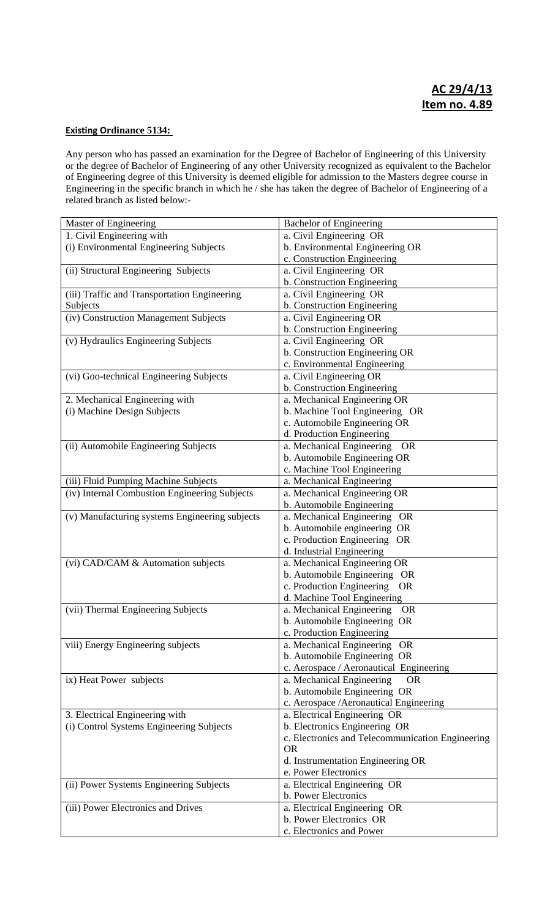#### **Existing Ordinance 5134:**

Any person who has passed an examination for the Degree of Bachelor of Engineering of this University or the degree of Bachelor of Engineering of any other University recognized as equivalent to the Bachelor of Engineering degree of this University is deemed eligible for admission to the Masters degree course in Engineering in the specific branch in which he / she has taken the degree of Bachelor of Engineering of a related branch as listed below:-

| Master of Engineering                          | <b>Bachelor of Engineering</b>                   |
|------------------------------------------------|--------------------------------------------------|
| 1. Civil Engineering with                      | a. Civil Engineering OR                          |
| (i) Environmental Engineering Subjects         | b. Environmental Engineering OR                  |
|                                                | c. Construction Engineering                      |
| (ii) Structural Engineering Subjects           | a. Civil Engineering OR                          |
|                                                | b. Construction Engineering                      |
| (iii) Traffic and Transportation Engineering   | a. Civil Engineering OR                          |
| Subjects                                       | b. Construction Engineering                      |
| (iv) Construction Management Subjects          | a. Civil Engineering OR                          |
|                                                | b. Construction Engineering                      |
| (v) Hydraulics Engineering Subjects            | a. Civil Engineering OR                          |
|                                                | b. Construction Engineering OR                   |
|                                                | c. Environmental Engineering                     |
| (vi) Goo-technical Engineering Subjects        | a. Civil Engineering OR                          |
|                                                | b. Construction Engineering                      |
| 2. Mechanical Engineering with                 | a. Mechanical Engineering OR                     |
| (i) Machine Design Subjects                    | b. Machine Tool Engineering OR                   |
|                                                | c. Automobile Engineering OR                     |
|                                                | d. Production Engineering                        |
| (ii) Automobile Engineering Subjects           | a. Mechanical Engineering<br><b>OR</b>           |
|                                                | b. Automobile Engineering OR                     |
|                                                | c. Machine Tool Engineering                      |
| (iii) Fluid Pumping Machine Subjects           | a. Mechanical Engineering                        |
| (iv) Internal Combustion Engineering Subjects  | a. Mechanical Engineering OR                     |
|                                                | b. Automobile Engineering                        |
| (v) Manufacturing systems Engineering subjects | a. Mechanical Engineering OR                     |
|                                                | b. Automobile engineering OR                     |
|                                                | c. Production Engineering OR                     |
|                                                | d. Industrial Engineering                        |
| (vi) CAD/CAM & Automation subjects             | a. Mechanical Engineering OR                     |
|                                                | b. Automobile Engineering OR                     |
|                                                | c. Production Engineering<br><b>OR</b>           |
|                                                | d. Machine Tool Engineering                      |
| (vii) Thermal Engineering Subjects             | a. Mechanical Engineering<br><b>OR</b>           |
|                                                | b. Automobile Engineering OR                     |
|                                                | c. Production Engineering                        |
| viii) Energy Engineering subjects              | a. Mechanical Engineering<br><b>OR</b>           |
|                                                | b. Automobile Engineering OR                     |
|                                                | c. Aerospace / Aeronautical Engineering          |
| ix) Heat Power subjects                        | a. Mechanical Engineering<br><b>OR</b>           |
|                                                | b. Automobile Engineering OR                     |
|                                                | c. Aerospace / Aeronautical Engineering          |
| 3. Electrical Engineering with                 | a. Electrical Engineering OR                     |
| (i) Control Systems Engineering Subjects       | b. Electronics Engineering OR                    |
|                                                | c. Electronics and Telecommunication Engineering |
|                                                | <b>OR</b>                                        |
|                                                | d. Instrumentation Engineering OR                |
|                                                | e. Power Electronics                             |
| (ii) Power Systems Engineering Subjects        | a. Electrical Engineering OR                     |
|                                                | b. Power Electronics                             |
| (iii) Power Electronics and Drives             | a. Electrical Engineering OR                     |
|                                                | b. Power Electronics OR                          |
|                                                | c. Electronics and Power                         |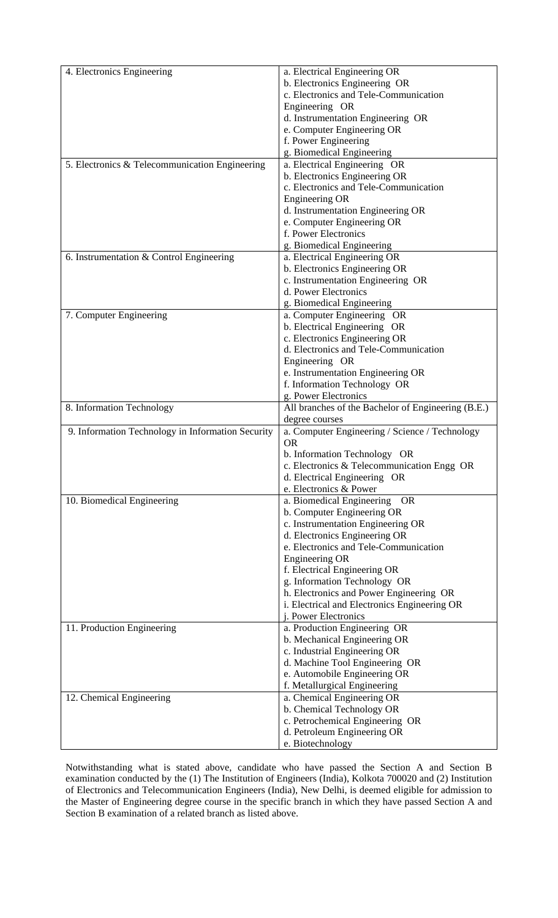| 4. Electronics Engineering                        | a. Electrical Engineering OR                       |
|---------------------------------------------------|----------------------------------------------------|
|                                                   | b. Electronics Engineering OR                      |
|                                                   | c. Electronics and Tele-Communication              |
|                                                   | Engineering OR                                     |
|                                                   |                                                    |
|                                                   | d. Instrumentation Engineering OR                  |
|                                                   | e. Computer Engineering OR                         |
|                                                   | f. Power Engineering                               |
|                                                   | g. Biomedical Engineering                          |
| 5. Electronics & Telecommunication Engineering    | a. Electrical Engineering OR                       |
|                                                   | b. Electronics Engineering OR                      |
|                                                   | c. Electronics and Tele-Communication              |
|                                                   | <b>Engineering OR</b>                              |
|                                                   | d. Instrumentation Engineering OR                  |
|                                                   | e. Computer Engineering OR                         |
|                                                   | f. Power Electronics                               |
|                                                   | g. Biomedical Engineering                          |
| 6. Instrumentation & Control Engineering          | a. Electrical Engineering OR                       |
|                                                   | b. Electronics Engineering OR                      |
|                                                   | c. Instrumentation Engineering OR                  |
|                                                   | d. Power Electronics                               |
|                                                   | g. Biomedical Engineering                          |
| 7. Computer Engineering                           | a. Computer Engineering OR                         |
|                                                   | b. Electrical Engineering OR                       |
|                                                   | c. Electronics Engineering OR                      |
|                                                   | d. Electronics and Tele-Communication              |
|                                                   | Engineering OR                                     |
|                                                   | e. Instrumentation Engineering OR                  |
|                                                   | f. Information Technology OR                       |
|                                                   | g. Power Electronics                               |
| 8. Information Technology                         | All branches of the Bachelor of Engineering (B.E.) |
|                                                   | degree courses                                     |
| 9. Information Technology in Information Security | a. Computer Engineering / Science / Technology     |
|                                                   | <b>OR</b>                                          |
|                                                   | b. Information Technology OR                       |
|                                                   | c. Electronics & Telecommunication Engg OR         |
|                                                   | d. Electrical Engineering OR                       |
|                                                   | e. Electronics & Power                             |
| 10. Biomedical Engineering                        | a. Biomedical Engineering OR                       |
|                                                   |                                                    |
|                                                   | b. Computer Engineering OR                         |
|                                                   | c. Instrumentation Engineering OR                  |
|                                                   | d. Electronics Engineering OR                      |
|                                                   | e. Electronics and Tele-Communication              |
|                                                   |                                                    |
|                                                   | <b>Engineering OR</b>                              |
|                                                   | f. Electrical Engineering OR                       |
|                                                   | g. Information Technology OR                       |
|                                                   | h. Electronics and Power Engineering OR            |
|                                                   | i. Electrical and Electronics Engineering OR       |
|                                                   | j. Power Electronics                               |
| 11. Production Engineering                        | a. Production Engineering OR                       |
|                                                   | b. Mechanical Engineering OR                       |
|                                                   | c. Industrial Engineering OR                       |
|                                                   | d. Machine Tool Engineering OR                     |
|                                                   | e. Automobile Engineering OR                       |
|                                                   | f. Metallurgical Engineering                       |
| 12. Chemical Engineering                          | a. Chemical Engineering OR                         |
|                                                   | b. Chemical Technology OR                          |
|                                                   | c. Petrochemical Engineering OR                    |
|                                                   |                                                    |
|                                                   | d. Petroleum Engineering OR<br>e. Biotechnology    |

Notwithstanding what is stated above, candidate who have passed the Section A and Section B examination conducted by the (1) The Institution of Engineers (India), Kolkota 700020 and (2) Institution of Electronics and Telecommunication Engineers (India), New Delhi, is deemed eligible for admission to the Master of Engineering degree course in the specific branch in which they have passed Section A and Section B examination of a related branch as listed above.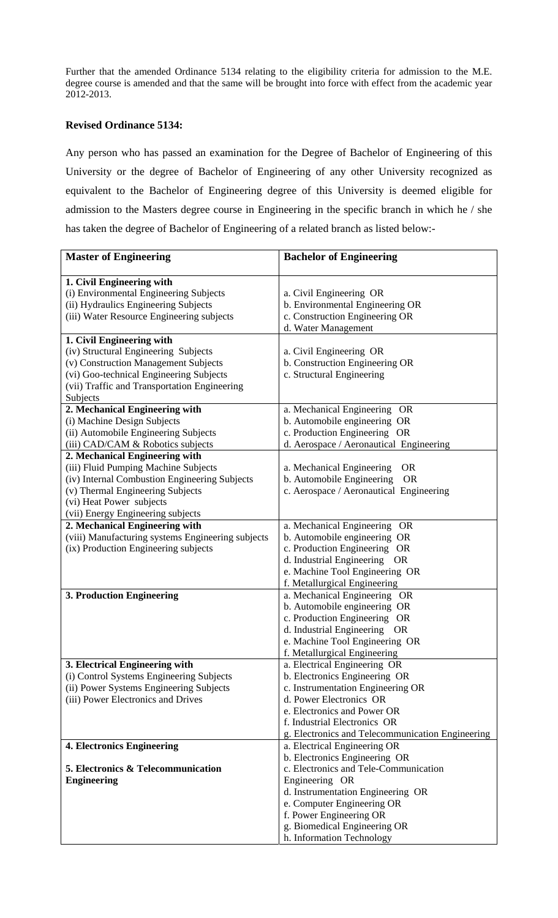Further that the amended Ordinance 5134 relating to the eligibility criteria for admission to the M.E. degree course is amended and that the same will be brought into force with effect from the academic year 2012-2013.

#### **Revised Ordinance 5134:**

Any person who has passed an examination for the Degree of Bachelor of Engineering of this University or the degree of Bachelor of Engineering of any other University recognized as equivalent to the Bachelor of Engineering degree of this University is deemed eligible for admission to the Masters degree course in Engineering in the specific branch in which he / she has taken the degree of Bachelor of Engineering of a related branch as listed below:-

| <b>Master of Engineering</b>                                                              | <b>Bachelor of Engineering</b>                               |
|-------------------------------------------------------------------------------------------|--------------------------------------------------------------|
| 1. Civil Engineering with                                                                 |                                                              |
| (i) Environmental Engineering Subjects                                                    | a. Civil Engineering OR                                      |
| (ii) Hydraulics Engineering Subjects                                                      | b. Environmental Engineering OR                              |
| (iii) Water Resource Engineering subjects                                                 | c. Construction Engineering OR                               |
|                                                                                           | d. Water Management                                          |
| 1. Civil Engineering with                                                                 |                                                              |
| (iv) Structural Engineering Subjects                                                      | a. Civil Engineering OR                                      |
| (v) Construction Management Subjects                                                      | b. Construction Engineering OR                               |
| (vi) Goo-technical Engineering Subjects                                                   | c. Structural Engineering                                    |
| (vii) Traffic and Transportation Engineering                                              |                                                              |
| Subjects                                                                                  |                                                              |
| 2. Mechanical Engineering with                                                            | a. Mechanical Engineering OR                                 |
| (i) Machine Design Subjects                                                               | b. Automobile engineering OR                                 |
| (ii) Automobile Engineering Subjects                                                      | c. Production Engineering OR                                 |
| (iii) CAD/CAM & Robotics subjects                                                         | d. Aerospace / Aeronautical Engineering                      |
| 2. Mechanical Engineering with                                                            |                                                              |
| (iii) Fluid Pumping Machine Subjects                                                      | a. Mechanical Engineering<br><b>OR</b>                       |
| (iv) Internal Combustion Engineering Subjects                                             | b. Automobile Engineering<br><b>OR</b>                       |
| (v) Thermal Engineering Subjects                                                          | c. Aerospace / Aeronautical Engineering                      |
| (vi) Heat Power subjects                                                                  |                                                              |
| (vii) Energy Engineering subjects                                                         |                                                              |
| 2. Mechanical Engineering with                                                            | a. Mechanical Engineering OR                                 |
| (viii) Manufacturing systems Engineering subjects<br>(ix) Production Engineering subjects | b. Automobile engineering OR<br>c. Production Engineering OR |
|                                                                                           | d. Industrial Engineering OR                                 |
|                                                                                           | e. Machine Tool Engineering OR                               |
|                                                                                           | f. Metallurgical Engineering                                 |
| 3. Production Engineering                                                                 | a. Mechanical Engineering OR                                 |
|                                                                                           | b. Automobile engineering OR                                 |
|                                                                                           | c. Production Engineering OR                                 |
|                                                                                           | d. Industrial Engineering OR                                 |
|                                                                                           | e. Machine Tool Engineering OR                               |
|                                                                                           | f. Metallurgical Engineering                                 |
| 3. Electrical Engineering with                                                            | a. Electrical Engineering OR                                 |
| (i) Control Systems Engineering Subjects                                                  | b. Electronics Engineering OR                                |
| (ii) Power Systems Engineering Subjects                                                   | c. Instrumentation Engineering OR                            |
| (iii) Power Electronics and Drives                                                        | d. Power Electronics OR                                      |
|                                                                                           | e. Electronics and Power OR                                  |
|                                                                                           | f. Industrial Electronics OR                                 |
|                                                                                           | g. Electronics and Telecommunication Engineering             |
| <b>4. Electronics Engineering</b>                                                         | a. Electrical Engineering OR                                 |
|                                                                                           | b. Electronics Engineering OR                                |
| 5. Electronics & Telecommunication                                                        | c. Electronics and Tele-Communication                        |
| <b>Engineering</b>                                                                        | Engineering OR                                               |
|                                                                                           | d. Instrumentation Engineering OR                            |
|                                                                                           | e. Computer Engineering OR                                   |
|                                                                                           | f. Power Engineering OR                                      |
|                                                                                           | g. Biomedical Engineering OR                                 |
|                                                                                           | h. Information Technology                                    |